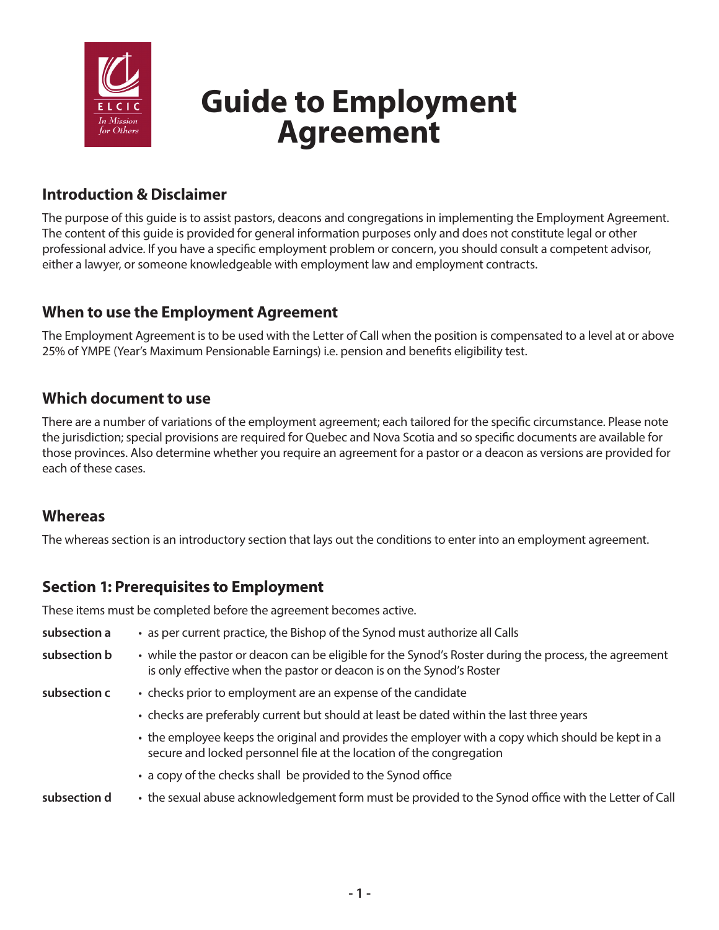

# **Guide to Employment Agreement**

# **Introduction & Disclaimer**

The purpose of this guide is to assist pastors, deacons and congregations in implementing the Employment Agreement. The content of this guide is provided for general information purposes only and does not constitute legal or other professional advice. If you have a specific employment problem or concern, you should consult a competent advisor, either a lawyer, or someone knowledgeable with employment law and employment contracts.

#### **When to use the Employment Agreement**

The Employment Agreement is to be used with the Letter of Call when the position is compensated to a level at or above 25% of YMPE (Year's Maximum Pensionable Earnings) i.e. pension and benefits eligibility test.

#### **Which document to use**

There are a number of variations of the employment agreement; each tailored for the specific circumstance. Please note the jurisdiction; special provisions are required for Quebec and Nova Scotia and so specific documents are available for those provinces. Also determine whether you require an agreement for a pastor or a deacon as versions are provided for each of these cases.

#### **Whereas**

The whereas section is an introductory section that lays out the conditions to enter into an employment agreement.

#### **Section 1: Prerequisites to Employment**

These items must be completed before the agreement becomes active.

| subsection a | • as per current practice, the Bishop of the Synod must authorize all Calls                                                                                                   |
|--------------|-------------------------------------------------------------------------------------------------------------------------------------------------------------------------------|
| subsection b | • while the pastor or deacon can be eligible for the Synod's Roster during the process, the agreement<br>is only effective when the pastor or deacon is on the Synod's Roster |
| subsection c | • checks prior to employment are an expense of the candidate                                                                                                                  |
|              | • checks are preferably current but should at least be dated within the last three years                                                                                      |
|              | • the employee keeps the original and provides the employer with a copy which should be kept in a<br>secure and locked personnel file at the location of the congregation     |
|              | • a copy of the checks shall be provided to the Synod office                                                                                                                  |
| subsection d | • the sexual abuse acknowledgement form must be provided to the Synod office with the Letter of Call                                                                          |
|              |                                                                                                                                                                               |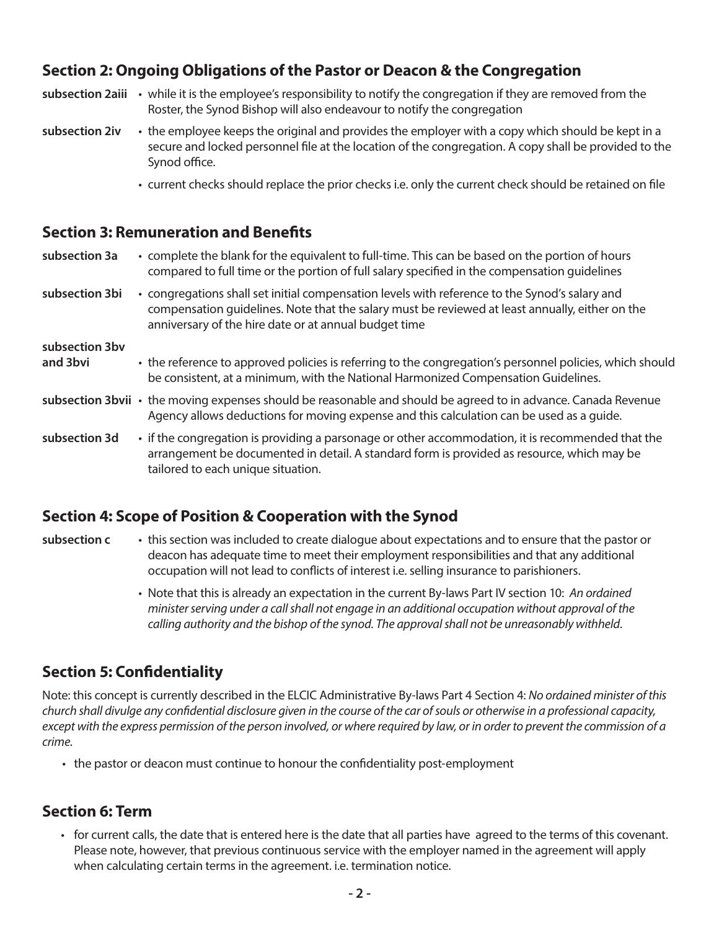## **Section 2: Ongoing Obligations of the Pastor or Deacon & the Congregation**

| subsection 2aiii | • while it is the employee's responsibility to notify the congregation if they are removed from the<br>Roster, the Synod Bishop will also endeavour to notify the congregation                                                                             |  |
|------------------|------------------------------------------------------------------------------------------------------------------------------------------------------------------------------------------------------------------------------------------------------------|--|
| subsection 2iv   | • the employee keeps the original and provides the employer with a copy which should be kept in a<br>secure and locked personnel file at the location of the congregation. A copy shall be provided to the<br>Synod office.                                |  |
|                  | • current checks should replace the prior checks i.e. only the current check should be retained on file                                                                                                                                                    |  |
|                  | <b>Section 3: Remuneration and Benefits</b>                                                                                                                                                                                                                |  |
| subsection 3a    | • complete the blank for the equivalent to full-time. This can be based on the portion of hours<br>compared to full time or the portion of full salary specified in the compensation quidelines                                                            |  |
| subsection 3bi   | • congregations shall set initial compensation levels with reference to the Synod's salary and<br>compensation quidelines. Note that the salary must be reviewed at least annually, either on the<br>anniversary of the hire date or at annual budget time |  |

- **and 3bvi** the reference to approved policies is referring to the congregation's personnel policies, which should be consistent, at a minimum, with the National Harmonized Compensation Guidelines.
- **subsection 3bvii** the moving expenses should be reasonable and should be agreed to in advance. Canada Revenue Agency allows deductions for moving expense and this calculation can be used as a guide.
- **subsection 3d** if the congregation is providing a parsonage or other accommodation, it is recommended that the arrangement be documented in detail. A standard form is provided as resource, which may be tailored to each unique situation.

#### **Section 4: Scope of Position & Cooperation with the Synod**

- **subsection c** this section was included to create dialogue about expectations and to ensure that the pastor or deacon has adequate time to meet their employment responsibilities and that any additional occupation will not lead to conflicts of interest i.e. selling insurance to parishioners.
	- Note that this is already an expectation in the current By-laws Part IV section 10: *An ordained minister serving under a call shall not engage in an additional occupation without approval of the calling authority and the bishop of the synod. The approval shall not be unreasonably withheld*.

#### **Section 5: Confidentiality**

Note: this concept is currently described in the ELCIC Administrative By-laws Part 4 Section 4: *No ordained minister of this church shall divulge any confidential disclosure given in the course of the car of souls or otherwise in a professional capacity, except with the express permission of the person involved, or where required by law, or in order to prevent the commission of a crime.*

• the pastor or deacon must continue to honour the confidentiality post-employment

## **Section 6: Term**

**subsection 3bv** 

• for current calls, the date that is entered here is the date that all parties have agreed to the terms of this covenant. Please note, however, that previous continuous service with the employer named in the agreement will apply when calculating certain terms in the agreement. i.e. termination notice.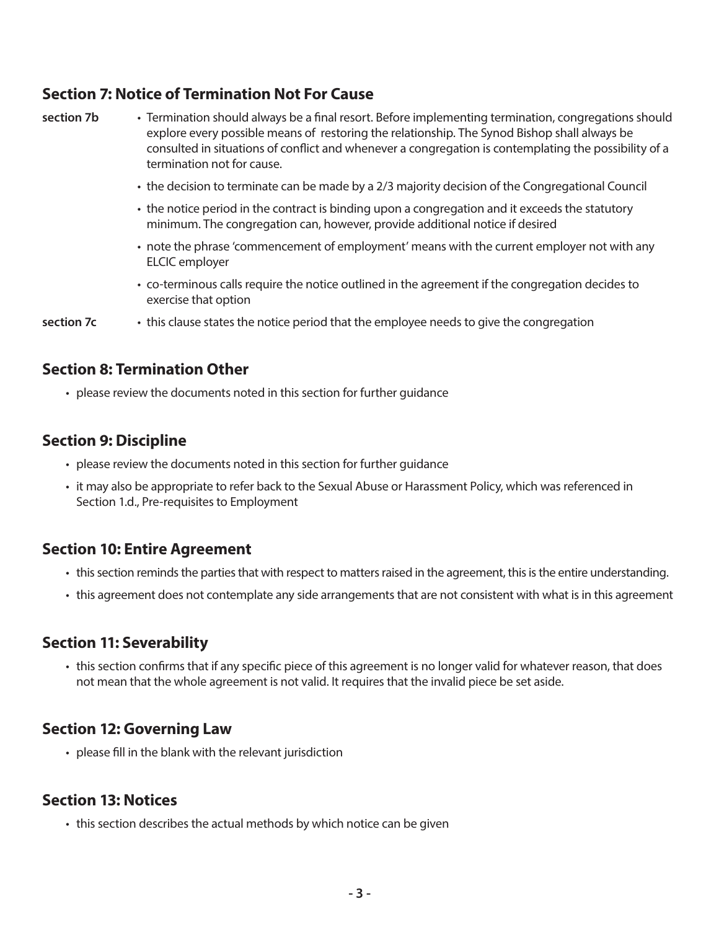#### **Section 7: Notice of Termination Not For Cause**

**section 7b** • Termination should always be a final resort. Before implementing termination, congregations should explore every possible means of restoring the relationship. The Synod Bishop shall always be consulted in situations of conflict and whenever a congregation is contemplating the possibility of a termination not for cause.

- the decision to terminate can be made by a 2/3 majority decision of the Congregational Council
- the notice period in the contract is binding upon a congregation and it exceeds the statutory minimum. The congregation can, however, provide additional notice if desired
- note the phrase 'commencement of employment' means with the current employer not with any ELCIC employer
- co-terminous calls require the notice outlined in the agreement if the congregation decides to exercise that option
- **section 7c** this clause states the notice period that the employee needs to give the congregation

#### **Section 8: Termination Other**

• please review the documents noted in this section for further guidance

#### **Section 9: Discipline**

- please review the documents noted in this section for further guidance
- it may also be appropriate to refer back to the Sexual Abuse or Harassment Policy, which was referenced in Section 1.d., Pre-requisites to Employment

#### **Section 10: Entire Agreement**

- this section reminds the parties that with respect to matters raised in the agreement, this is the entire understanding.
- this agreement does not contemplate any side arrangements that are not consistent with what is in this agreement

#### **Section 11: Severability**

• this section confirms that if any specific piece of this agreement is no longer valid for whatever reason, that does not mean that the whole agreement is not valid. It requires that the invalid piece be set aside.

#### **Section 12: Governing Law**

• please fill in the blank with the relevant jurisdiction

#### **Section 13: Notices**

• this section describes the actual methods by which notice can be given